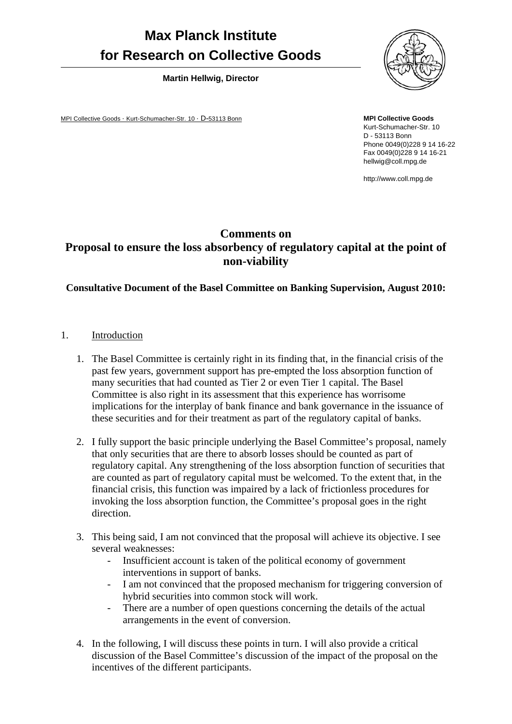# **Max Planck Institute for Research on Collective Goods**

**Martin Hellwig, Director** 

MPI Collective Goods · Kurt-Schumacher-Str. 10 · D-53113 Bonn



**MPI Collective Goods**  Kurt-Schumacher-Str. 10 D - 53113 Bonn Phone 0049(0)228 9 14 16-22 Fax 0049(0)228 9 14 16-21 hellwig@coll.mpg.de

http://www.coll.mpg.de

## **Comments on Proposal to ensure the loss absorbency of regulatory capital at the point of non-viability**

### **Consultative Document of the Basel Committee on Banking Supervision, August 2010:**

- 1. Introduction
	- 1. The Basel Committee is certainly right in its finding that, in the financial crisis of the past few years, government support has pre-empted the loss absorption function of many securities that had counted as Tier 2 or even Tier 1 capital. The Basel Committee is also right in its assessment that this experience has worrisome implications for the interplay of bank finance and bank governance in the issuance of these securities and for their treatment as part of the regulatory capital of banks.
	- 2. I fully support the basic principle underlying the Basel Committee's proposal, namely that only securities that are there to absorb losses should be counted as part of regulatory capital. Any strengthening of the loss absorption function of securities that are counted as part of regulatory capital must be welcomed. To the extent that, in the financial crisis, this function was impaired by a lack of frictionless procedures for invoking the loss absorption function, the Committee's proposal goes in the right direction.
	- 3. This being said, I am not convinced that the proposal will achieve its objective. I see several weaknesses:
		- Insufficient account is taken of the political economy of government interventions in support of banks.
		- I am not convinced that the proposed mechanism for triggering conversion of hybrid securities into common stock will work.
		- There are a number of open questions concerning the details of the actual arrangements in the event of conversion.
	- 4. In the following, I will discuss these points in turn. I will also provide a critical discussion of the Basel Committee's discussion of the impact of the proposal on the incentives of the different participants.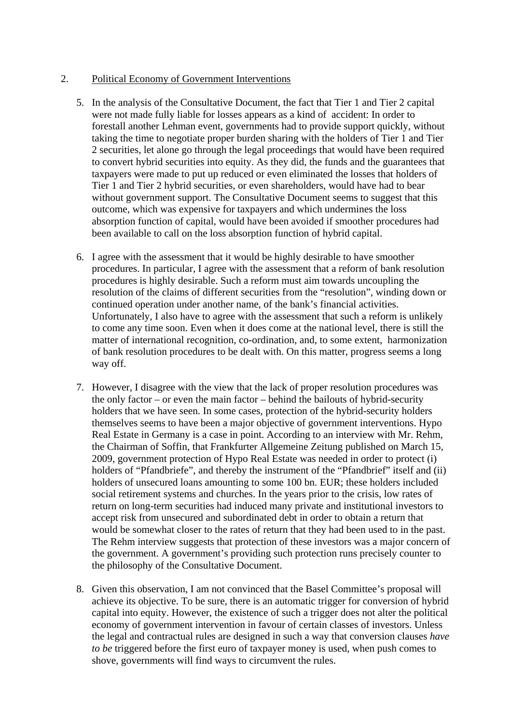#### 2. Political Economy of Government Interventions

- 5. In the analysis of the Consultative Document, the fact that Tier 1 and Tier 2 capital were not made fully liable for losses appears as a kind of accident: In order to forestall another Lehman event, governments had to provide support quickly, without taking the time to negotiate proper burden sharing with the holders of Tier 1 and Tier 2 securities, let alone go through the legal proceedings that would have been required to convert hybrid securities into equity. As they did, the funds and the guarantees that taxpayers were made to put up reduced or even eliminated the losses that holders of Tier 1 and Tier 2 hybrid securities, or even shareholders, would have had to bear without government support. The Consultative Document seems to suggest that this outcome, which was expensive for taxpayers and which undermines the loss absorption function of capital, would have been avoided if smoother procedures had been available to call on the loss absorption function of hybrid capital.
- 6. I agree with the assessment that it would be highly desirable to have smoother procedures. In particular, I agree with the assessment that a reform of bank resolution procedures is highly desirable. Such a reform must aim towards uncoupling the resolution of the claims of different securities from the "resolution", winding down or continued operation under another name, of the bank's financial activities. Unfortunately, I also have to agree with the assessment that such a reform is unlikely to come any time soon. Even when it does come at the national level, there is still the matter of international recognition, co-ordination, and, to some extent, harmonization of bank resolution procedures to be dealt with. On this matter, progress seems a long way off.
- 7. However, I disagree with the view that the lack of proper resolution procedures was the only factor – or even the main factor – behind the bailouts of hybrid-security holders that we have seen. In some cases, protection of the hybrid-security holders themselves seems to have been a major objective of government interventions. Hypo Real Estate in Germany is a case in point. According to an interview with Mr. Rehm, the Chairman of Soffin, that Frankfurter Allgemeine Zeitung published on March 15, 2009, government protection of Hypo Real Estate was needed in order to protect (i) holders of "Pfandbriefe", and thereby the instrument of the "Pfandbrief" itself and (ii) holders of unsecured loans amounting to some 100 bn. EUR; these holders included social retirement systems and churches. In the years prior to the crisis, low rates of return on long-term securities had induced many private and institutional investors to accept risk from unsecured and subordinated debt in order to obtain a return that would be somewhat closer to the rates of return that they had been used to in the past. The Rehm interview suggests that protection of these investors was a major concern of the government. A government's providing such protection runs precisely counter to the philosophy of the Consultative Document.
- 8. Given this observation, I am not convinced that the Basel Committee's proposal will achieve its objective. To be sure, there is an automatic trigger for conversion of hybrid capital into equity. However, the existence of such a trigger does not alter the political economy of government intervention in favour of certain classes of investors. Unless the legal and contractual rules are designed in such a way that conversion clauses *have to be* triggered before the first euro of taxpayer money is used, when push comes to shove, governments will find ways to circumvent the rules.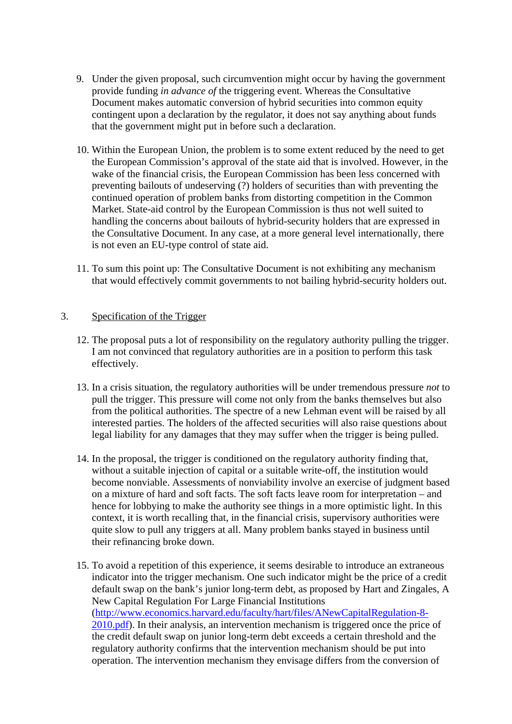- 9. Under the given proposal, such circumvention might occur by having the government provide funding *in advance of* the triggering event. Whereas the Consultative Document makes automatic conversion of hybrid securities into common equity contingent upon a declaration by the regulator, it does not say anything about funds that the government might put in before such a declaration.
- 10. Within the European Union, the problem is to some extent reduced by the need to get the European Commission's approval of the state aid that is involved. However, in the wake of the financial crisis, the European Commission has been less concerned with preventing bailouts of undeserving (?) holders of securities than with preventing the continued operation of problem banks from distorting competition in the Common Market. State-aid control by the European Commission is thus not well suited to handling the concerns about bailouts of hybrid-security holders that are expressed in the Consultative Document. In any case, at a more general level internationally, there is not even an EU-type control of state aid.
- 11. To sum this point up: The Consultative Document is not exhibiting any mechanism that would effectively commit governments to not bailing hybrid-security holders out.

#### 3. Specification of the Trigger

- 12. The proposal puts a lot of responsibility on the regulatory authority pulling the trigger. I am not convinced that regulatory authorities are in a position to perform this task effectively.
- 13. In a crisis situation, the regulatory authorities will be under tremendous pressure *not* to pull the trigger. This pressure will come not only from the banks themselves but also from the political authorities. The spectre of a new Lehman event will be raised by all interested parties. The holders of the affected securities will also raise questions about legal liability for any damages that they may suffer when the trigger is being pulled.
- 14. In the proposal, the trigger is conditioned on the regulatory authority finding that, without a suitable injection of capital or a suitable write-off, the institution would become nonviable. Assessments of nonviability involve an exercise of judgment based on a mixture of hard and soft facts. The soft facts leave room for interpretation – and hence for lobbying to make the authority see things in a more optimistic light. In this context, it is worth recalling that, in the financial crisis, supervisory authorities were quite slow to pull any triggers at all. Many problem banks stayed in business until their refinancing broke down.
- 15. To avoid a repetition of this experience, it seems desirable to introduce an extraneous indicator into the trigger mechanism. One such indicator might be the price of a credit default swap on the bank's junior long-term debt, as proposed by Hart and Zingales, A New Capital Regulation For Large Financial Institutions (http://www.economics.harvard.edu/faculty/hart/files/ANewCapitalRegulation-8- 2010.pdf). In their analysis, an intervention mechanism is triggered once the price of the credit default swap on junior long-term debt exceeds a certain threshold and the regulatory authority confirms that the intervention mechanism should be put into operation. The intervention mechanism they envisage differs from the conversion of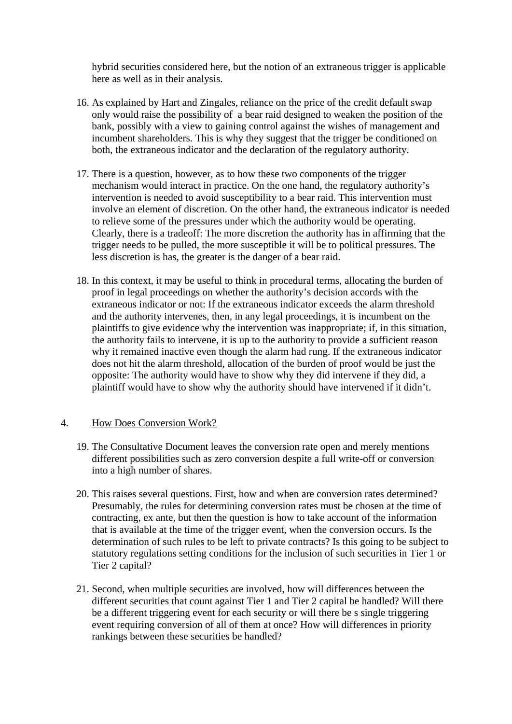hybrid securities considered here, but the notion of an extraneous trigger is applicable here as well as in their analysis.

- 16. As explained by Hart and Zingales, reliance on the price of the credit default swap only would raise the possibility of a bear raid designed to weaken the position of the bank, possibly with a view to gaining control against the wishes of management and incumbent shareholders. This is why they suggest that the trigger be conditioned on both, the extraneous indicator and the declaration of the regulatory authority.
- 17. There is a question, however, as to how these two components of the trigger mechanism would interact in practice. On the one hand, the regulatory authority's intervention is needed to avoid susceptibility to a bear raid. This intervention must involve an element of discretion. On the other hand, the extraneous indicator is needed to relieve some of the pressures under which the authority would be operating. Clearly, there is a tradeoff: The more discretion the authority has in affirming that the trigger needs to be pulled, the more susceptible it will be to political pressures. The less discretion is has, the greater is the danger of a bear raid.
- 18. In this context, it may be useful to think in procedural terms, allocating the burden of proof in legal proceedings on whether the authority's decision accords with the extraneous indicator or not: If the extraneous indicator exceeds the alarm threshold and the authority intervenes, then, in any legal proceedings, it is incumbent on the plaintiffs to give evidence why the intervention was inappropriate; if, in this situation, the authority fails to intervene, it is up to the authority to provide a sufficient reason why it remained inactive even though the alarm had rung. If the extraneous indicator does not hit the alarm threshold, allocation of the burden of proof would be just the opposite: The authority would have to show why they did intervene if they did, a plaintiff would have to show why the authority should have intervened if it didn't.

#### 4. How Does Conversion Work?

- 19. The Consultative Document leaves the conversion rate open and merely mentions different possibilities such as zero conversion despite a full write-off or conversion into a high number of shares.
- 20. This raises several questions. First, how and when are conversion rates determined? Presumably, the rules for determining conversion rates must be chosen at the time of contracting, ex ante, but then the question is how to take account of the information that is available at the time of the trigger event, when the conversion occurs. Is the determination of such rules to be left to private contracts? Is this going to be subject to statutory regulations setting conditions for the inclusion of such securities in Tier 1 or Tier 2 capital?
- 21. Second, when multiple securities are involved, how will differences between the different securities that count against Tier 1 and Tier 2 capital be handled? Will there be a different triggering event for each security or will there be s single triggering event requiring conversion of all of them at once? How will differences in priority rankings between these securities be handled?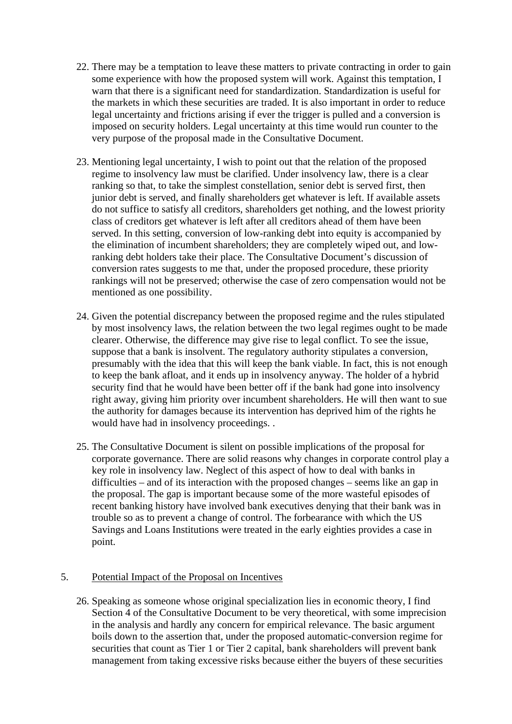- 22. There may be a temptation to leave these matters to private contracting in order to gain some experience with how the proposed system will work. Against this temptation, I warn that there is a significant need for standardization. Standardization is useful for the markets in which these securities are traded. It is also important in order to reduce legal uncertainty and frictions arising if ever the trigger is pulled and a conversion is imposed on security holders. Legal uncertainty at this time would run counter to the very purpose of the proposal made in the Consultative Document.
- 23. Mentioning legal uncertainty, I wish to point out that the relation of the proposed regime to insolvency law must be clarified. Under insolvency law, there is a clear ranking so that, to take the simplest constellation, senior debt is served first, then junior debt is served, and finally shareholders get whatever is left. If available assets do not suffice to satisfy all creditors, shareholders get nothing, and the lowest priority class of creditors get whatever is left after all creditors ahead of them have been served. In this setting, conversion of low-ranking debt into equity is accompanied by the elimination of incumbent shareholders; they are completely wiped out, and lowranking debt holders take their place. The Consultative Document's discussion of conversion rates suggests to me that, under the proposed procedure, these priority rankings will not be preserved; otherwise the case of zero compensation would not be mentioned as one possibility.
- 24. Given the potential discrepancy between the proposed regime and the rules stipulated by most insolvency laws, the relation between the two legal regimes ought to be made clearer. Otherwise, the difference may give rise to legal conflict. To see the issue, suppose that a bank is insolvent. The regulatory authority stipulates a conversion, presumably with the idea that this will keep the bank viable. In fact, this is not enough to keep the bank afloat, and it ends up in insolvency anyway. The holder of a hybrid security find that he would have been better off if the bank had gone into insolvency right away, giving him priority over incumbent shareholders. He will then want to sue the authority for damages because its intervention has deprived him of the rights he would have had in insolvency proceedings. .
- 25. The Consultative Document is silent on possible implications of the proposal for corporate governance. There are solid reasons why changes in corporate control play a key role in insolvency law. Neglect of this aspect of how to deal with banks in difficulties – and of its interaction with the proposed changes – seems like an gap in the proposal. The gap is important because some of the more wasteful episodes of recent banking history have involved bank executives denying that their bank was in trouble so as to prevent a change of control. The forbearance with which the US Savings and Loans Institutions were treated in the early eighties provides a case in point.

#### 5. Potential Impact of the Proposal on Incentives

26. Speaking as someone whose original specialization lies in economic theory, I find Section 4 of the Consultative Document to be very theoretical, with some imprecision in the analysis and hardly any concern for empirical relevance. The basic argument boils down to the assertion that, under the proposed automatic-conversion regime for securities that count as Tier 1 or Tier 2 capital, bank shareholders will prevent bank management from taking excessive risks because either the buyers of these securities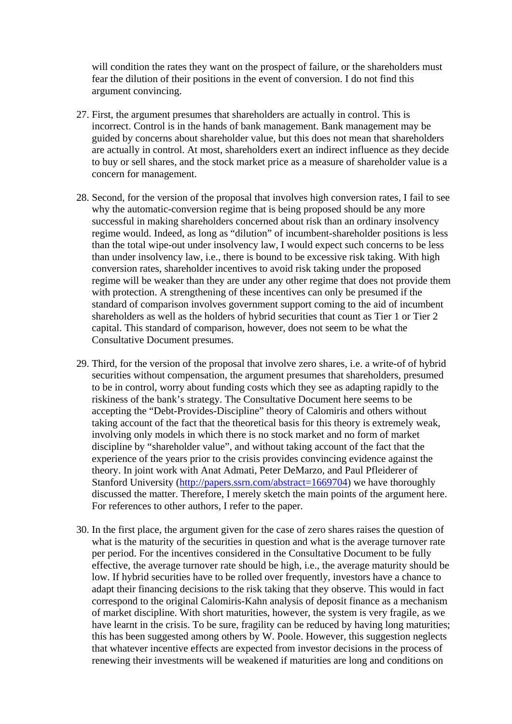will condition the rates they want on the prospect of failure, or the shareholders must fear the dilution of their positions in the event of conversion. I do not find this argument convincing.

- 27. First, the argument presumes that shareholders are actually in control. This is incorrect. Control is in the hands of bank management. Bank management may be guided by concerns about shareholder value, but this does not mean that shareholders are actually in control. At most, shareholders exert an indirect influence as they decide to buy or sell shares, and the stock market price as a measure of shareholder value is a concern for management.
- 28. Second, for the version of the proposal that involves high conversion rates, I fail to see why the automatic-conversion regime that is being proposed should be any more successful in making shareholders concerned about risk than an ordinary insolvency regime would. Indeed, as long as "dilution" of incumbent-shareholder positions is less than the total wipe-out under insolvency law, I would expect such concerns to be less than under insolvency law, i.e., there is bound to be excessive risk taking. With high conversion rates, shareholder incentives to avoid risk taking under the proposed regime will be weaker than they are under any other regime that does not provide them with protection. A strengthening of these incentives can only be presumed if the standard of comparison involves government support coming to the aid of incumbent shareholders as well as the holders of hybrid securities that count as Tier 1 or Tier 2 capital. This standard of comparison, however, does not seem to be what the Consultative Document presumes.
- 29. Third, for the version of the proposal that involve zero shares, i.e. a write-of of hybrid securities without compensation, the argument presumes that shareholders, presumed to be in control, worry about funding costs which they see as adapting rapidly to the riskiness of the bank's strategy. The Consultative Document here seems to be accepting the "Debt-Provides-Discipline" theory of Calomiris and others without taking account of the fact that the theoretical basis for this theory is extremely weak, involving only models in which there is no stock market and no form of market discipline by "shareholder value", and without taking account of the fact that the experience of the years prior to the crisis provides convincing evidence against the theory. In joint work with Anat Admati, Peter DeMarzo, and Paul Pfleiderer of Stanford University (http://papers.ssrn.com/abstract=1669704) we have thoroughly discussed the matter. Therefore, I merely sketch the main points of the argument here. For references to other authors, I refer to the paper.
- 30. In the first place, the argument given for the case of zero shares raises the question of what is the maturity of the securities in question and what is the average turnover rate per period. For the incentives considered in the Consultative Document to be fully effective, the average turnover rate should be high, i.e., the average maturity should be low. If hybrid securities have to be rolled over frequently, investors have a chance to adapt their financing decisions to the risk taking that they observe. This would in fact correspond to the original Calomiris-Kahn analysis of deposit finance as a mechanism of market discipline. With short maturities, however, the system is very fragile, as we have learnt in the crisis. To be sure, fragility can be reduced by having long maturities; this has been suggested among others by W. Poole. However, this suggestion neglects that whatever incentive effects are expected from investor decisions in the process of renewing their investments will be weakened if maturities are long and conditions on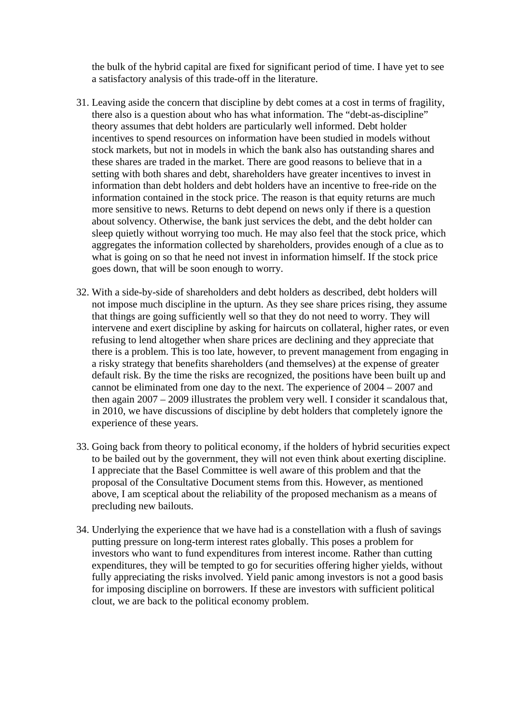the bulk of the hybrid capital are fixed for significant period of time. I have yet to see a satisfactory analysis of this trade-off in the literature.

- 31. Leaving aside the concern that discipline by debt comes at a cost in terms of fragility, there also is a question about who has what information. The "debt-as-discipline" theory assumes that debt holders are particularly well informed. Debt holder incentives to spend resources on information have been studied in models without stock markets, but not in models in which the bank also has outstanding shares and these shares are traded in the market. There are good reasons to believe that in a setting with both shares and debt, shareholders have greater incentives to invest in information than debt holders and debt holders have an incentive to free-ride on the information contained in the stock price. The reason is that equity returns are much more sensitive to news. Returns to debt depend on news only if there is a question about solvency. Otherwise, the bank just services the debt, and the debt holder can sleep quietly without worrying too much. He may also feel that the stock price, which aggregates the information collected by shareholders, provides enough of a clue as to what is going on so that he need not invest in information himself. If the stock price goes down, that will be soon enough to worry.
- 32. With a side-by-side of shareholders and debt holders as described, debt holders will not impose much discipline in the upturn. As they see share prices rising, they assume that things are going sufficiently well so that they do not need to worry. They will intervene and exert discipline by asking for haircuts on collateral, higher rates, or even refusing to lend altogether when share prices are declining and they appreciate that there is a problem. This is too late, however, to prevent management from engaging in a risky strategy that benefits shareholders (and themselves) at the expense of greater default risk. By the time the risks are recognized, the positions have been built up and cannot be eliminated from one day to the next. The experience of 2004 – 2007 and then again 2007 – 2009 illustrates the problem very well. I consider it scandalous that, in 2010, we have discussions of discipline by debt holders that completely ignore the experience of these years.
- 33. Going back from theory to political economy, if the holders of hybrid securities expect to be bailed out by the government, they will not even think about exerting discipline. I appreciate that the Basel Committee is well aware of this problem and that the proposal of the Consultative Document stems from this. However, as mentioned above, I am sceptical about the reliability of the proposed mechanism as a means of precluding new bailouts.
- 34. Underlying the experience that we have had is a constellation with a flush of savings putting pressure on long-term interest rates globally. This poses a problem for investors who want to fund expenditures from interest income. Rather than cutting expenditures, they will be tempted to go for securities offering higher yields, without fully appreciating the risks involved. Yield panic among investors is not a good basis for imposing discipline on borrowers. If these are investors with sufficient political clout, we are back to the political economy problem.